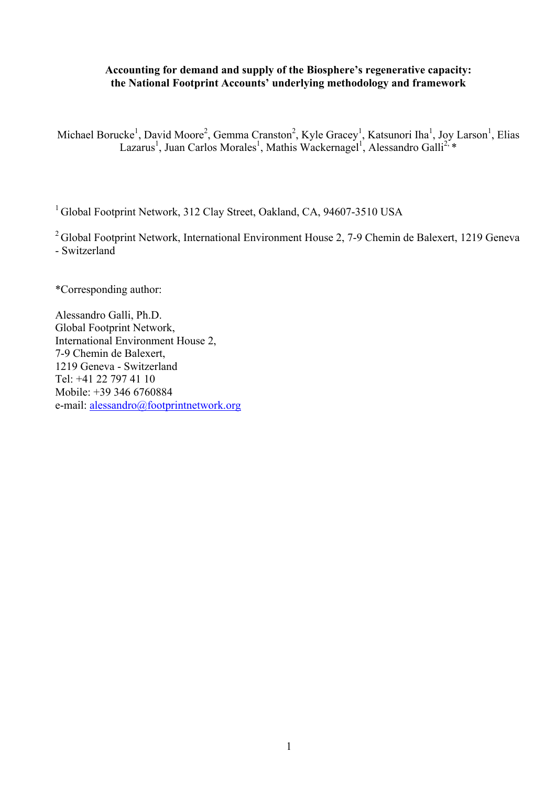# **Accounting for demand and supply of the Biosphere's regenerative capacity: the National Footprint Accounts' underlying methodology and framework**

Michael Borucke<sup>1</sup>, David Moore<sup>2</sup>, Gemma Cranston<sup>2</sup>, Kyle Gracey<sup>1</sup>, Katsunori Iha<sup>1</sup>, Joy Larson<sup>1</sup>, Elias Lazarus<sup>1</sup>, Juan Carlos Morales<sup>1</sup>, Mathis Wackernagel<sup>1</sup>, Alessandro Galli<sup>2, \*</sup>

<sup>1</sup> Global Footprint Network, 312 Clay Street, Oakland, CA, 94607-3510 USA

<sup>2</sup> Global Footprint Network, International Environment House 2, 7-9 Chemin de Balexert, 1219 Geneva - Switzerland

\*Corresponding author:

Alessandro Galli, Ph.D. Global Footprint Network, International Environment House 2, 7-9 Chemin de Balexert, 1219 Geneva - Switzerland Tel: +41 22 797 41 10 Mobile: +39 346 6760884 e-mail: alessandro@footprintnetwork.org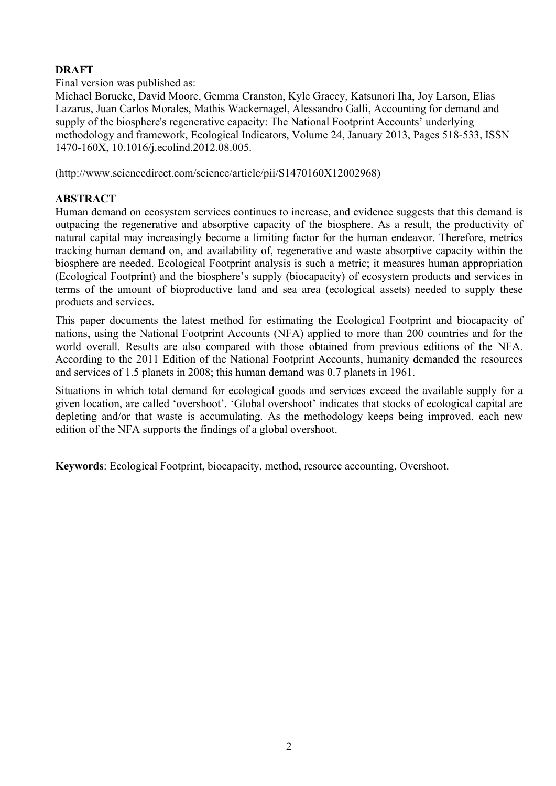# **DRAFT**

Final version was published as:

Michael Borucke, David Moore, Gemma Cranston, Kyle Gracey, Katsunori Iha, Joy Larson, Elias Lazarus, Juan Carlos Morales, Mathis Wackernagel, Alessandro Galli, Accounting for demand and supply of the biosphere's regenerative capacity: The National Footprint Accounts' underlying methodology and framework, Ecological Indicators, Volume 24, January 2013, Pages 518-533, ISSN 1470-160X, 10.1016/j.ecolind.2012.08.005.

(http://www.sciencedirect.com/science/article/pii/S1470160X12002968)

# **ABSTRACT**

Human demand on ecosystem services continues to increase, and evidence suggests that this demand is outpacing the regenerative and absorptive capacity of the biosphere. As a result, the productivity of natural capital may increasingly become a limiting factor for the human endeavor. Therefore, metrics tracking human demand on, and availability of, regenerative and waste absorptive capacity within the biosphere are needed. Ecological Footprint analysis is such a metric; it measures human appropriation (Ecological Footprint) and the biosphere's supply (biocapacity) of ecosystem products and services in terms of the amount of bioproductive land and sea area (ecological assets) needed to supply these products and services.

This paper documents the latest method for estimating the Ecological Footprint and biocapacity of nations, using the National Footprint Accounts (NFA) applied to more than 200 countries and for the world overall. Results are also compared with those obtained from previous editions of the NFA. According to the 2011 Edition of the National Footprint Accounts, humanity demanded the resources and services of 1.5 planets in 2008; this human demand was 0.7 planets in 1961.

Situations in which total demand for ecological goods and services exceed the available supply for a given location, are called 'overshoot'. 'Global overshoot' indicates that stocks of ecological capital are depleting and/or that waste is accumulating. As the methodology keeps being improved, each new edition of the NFA supports the findings of a global overshoot.

**Keywords**: Ecological Footprint, biocapacity, method, resource accounting, Overshoot.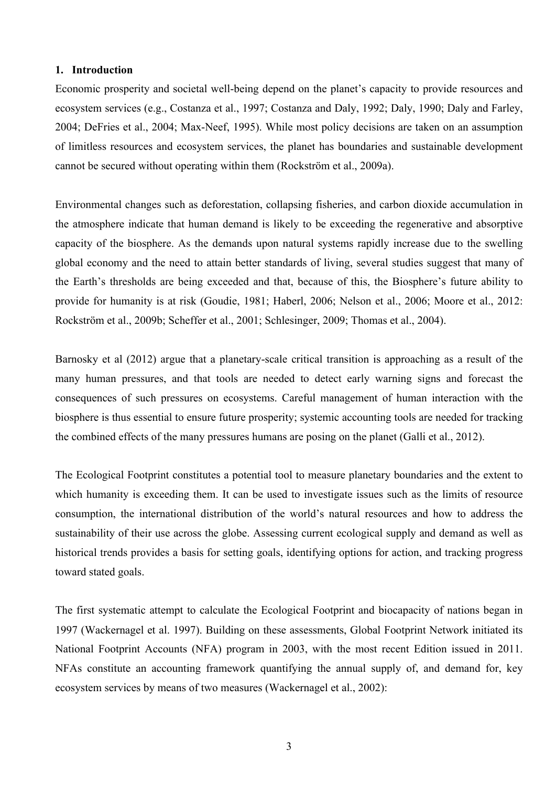## **1. Introduction**

Economic prosperity and societal well-being depend on the planet's capacity to provide resources and ecosystem services (e.g., Costanza et al., 1997; Costanza and Daly, 1992; Daly, 1990; Daly and Farley, 2004; DeFries et al., 2004; Max-Neef, 1995). While most policy decisions are taken on an assumption of limitless resources and ecosystem services, the planet has boundaries and sustainable development cannot be secured without operating within them (Rockström et al., 2009a).

Environmental changes such as deforestation, collapsing fisheries, and carbon dioxide accumulation in the atmosphere indicate that human demand is likely to be exceeding the regenerative and absorptive capacity of the biosphere. As the demands upon natural systems rapidly increase due to the swelling global economy and the need to attain better standards of living, several studies suggest that many of the Earth's thresholds are being exceeded and that, because of this, the Biosphere's future ability to provide for humanity is at risk (Goudie, 1981; Haberl, 2006; Nelson et al., 2006; Moore et al., 2012: Rockström et al., 2009b; Scheffer et al., 2001; Schlesinger, 2009; Thomas et al., 2004).

Barnosky et al (2012) argue that a planetary-scale critical transition is approaching as a result of the many human pressures, and that tools are needed to detect early warning signs and forecast the consequences of such pressures on ecosystems. Careful management of human interaction with the biosphere is thus essential to ensure future prosperity; systemic accounting tools are needed for tracking the combined effects of the many pressures humans are posing on the planet (Galli et al., 2012).

The Ecological Footprint constitutes a potential tool to measure planetary boundaries and the extent to which humanity is exceeding them. It can be used to investigate issues such as the limits of resource consumption, the international distribution of the world's natural resources and how to address the sustainability of their use across the globe. Assessing current ecological supply and demand as well as historical trends provides a basis for setting goals, identifying options for action, and tracking progress toward stated goals.

The first systematic attempt to calculate the Ecological Footprint and biocapacity of nations began in 1997 (Wackernagel et al. 1997). Building on these assessments, Global Footprint Network initiated its National Footprint Accounts (NFA) program in 2003, with the most recent Edition issued in 2011. NFAs constitute an accounting framework quantifying the annual supply of, and demand for, key ecosystem services by means of two measures (Wackernagel et al., 2002):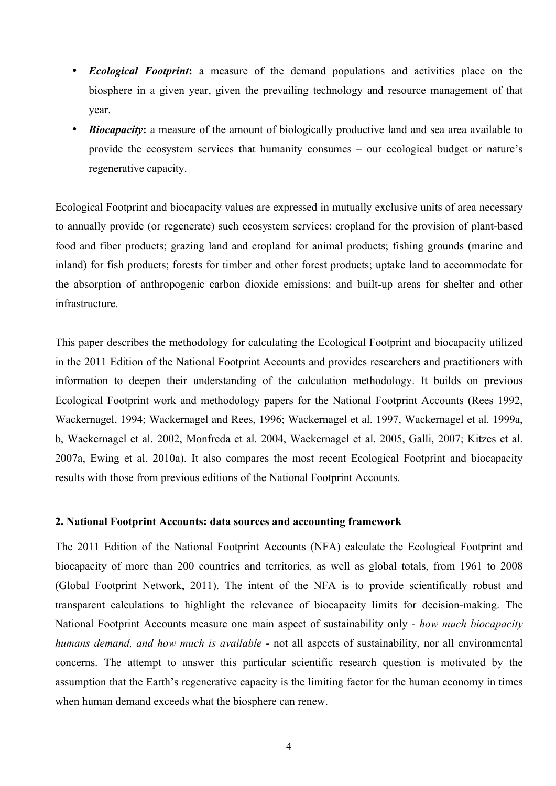- *Ecological Footprint***:** a measure of the demand populations and activities place on the biosphere in a given year, given the prevailing technology and resource management of that year.
- **Biocapacity:** a measure of the amount of biologically productive land and sea area available to provide the ecosystem services that humanity consumes – our ecological budget or nature's regenerative capacity.

Ecological Footprint and biocapacity values are expressed in mutually exclusive units of area necessary to annually provide (or regenerate) such ecosystem services: cropland for the provision of plant-based food and fiber products; grazing land and cropland for animal products; fishing grounds (marine and inland) for fish products; forests for timber and other forest products; uptake land to accommodate for the absorption of anthropogenic carbon dioxide emissions; and built-up areas for shelter and other infrastructure.

This paper describes the methodology for calculating the Ecological Footprint and biocapacity utilized in the 2011 Edition of the National Footprint Accounts and provides researchers and practitioners with information to deepen their understanding of the calculation methodology. It builds on previous Ecological Footprint work and methodology papers for the National Footprint Accounts (Rees 1992, Wackernagel, 1994; Wackernagel and Rees, 1996; Wackernagel et al. 1997, Wackernagel et al. 1999a, b, Wackernagel et al. 2002, Monfreda et al. 2004, Wackernagel et al. 2005, Galli, 2007; Kitzes et al. 2007a, Ewing et al. 2010a). It also compares the most recent Ecological Footprint and biocapacity results with those from previous editions of the National Footprint Accounts.

#### **2. National Footprint Accounts: data sources and accounting framework**

The 2011 Edition of the National Footprint Accounts (NFA) calculate the Ecological Footprint and biocapacity of more than 200 countries and territories, as well as global totals, from 1961 to 2008 (Global Footprint Network, 2011). The intent of the NFA is to provide scientifically robust and transparent calculations to highlight the relevance of biocapacity limits for decision-making. The National Footprint Accounts measure one main aspect of sustainability only - *how much biocapacity humans demand, and how much is available* - not all aspects of sustainability, nor all environmental concerns. The attempt to answer this particular scientific research question is motivated by the assumption that the Earth's regenerative capacity is the limiting factor for the human economy in times when human demand exceeds what the biosphere can renew.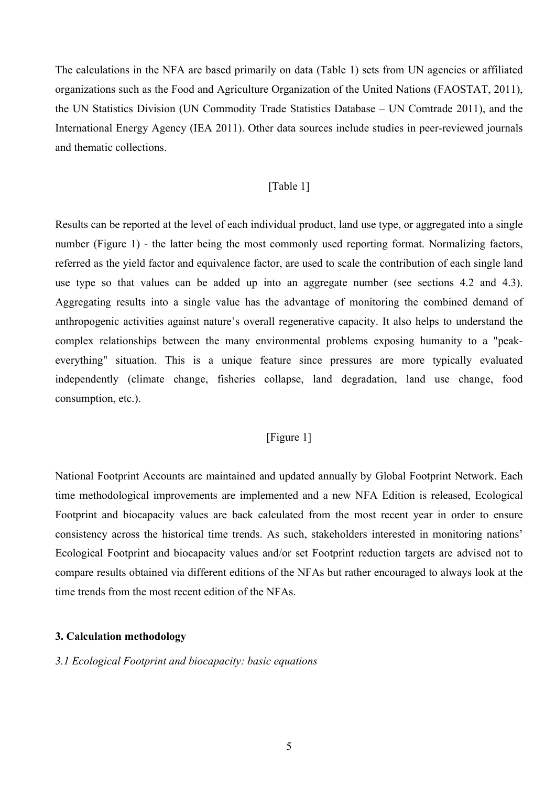The calculations in the NFA are based primarily on data (Table 1) sets from UN agencies or affiliated organizations such as the Food and Agriculture Organization of the United Nations (FAOSTAT, 2011), the UN Statistics Division (UN Commodity Trade Statistics Database – UN Comtrade 2011), and the International Energy Agency (IEA 2011). Other data sources include studies in peer-reviewed journals and thematic collections.

#### [Table 1]

Results can be reported at the level of each individual product, land use type, or aggregated into a single number (Figure 1) - the latter being the most commonly used reporting format. Normalizing factors, referred as the yield factor and equivalence factor, are used to scale the contribution of each single land use type so that values can be added up into an aggregate number (see sections 4.2 and 4.3). Aggregating results into a single value has the advantage of monitoring the combined demand of anthropogenic activities against nature's overall regenerative capacity. It also helps to understand the complex relationships between the many environmental problems exposing humanity to a "peakeverything" situation. This is a unique feature since pressures are more typically evaluated independently (climate change, fisheries collapse, land degradation, land use change, food consumption, etc.).

# [Figure 1]

National Footprint Accounts are maintained and updated annually by Global Footprint Network. Each time methodological improvements are implemented and a new NFA Edition is released, Ecological Footprint and biocapacity values are back calculated from the most recent year in order to ensure consistency across the historical time trends. As such, stakeholders interested in monitoring nations' Ecological Footprint and biocapacity values and/or set Footprint reduction targets are advised not to compare results obtained via different editions of the NFAs but rather encouraged to always look at the time trends from the most recent edition of the NFAs.

#### **3. Calculation methodology**

#### *3.1 Ecological Footprint and biocapacity: basic equations*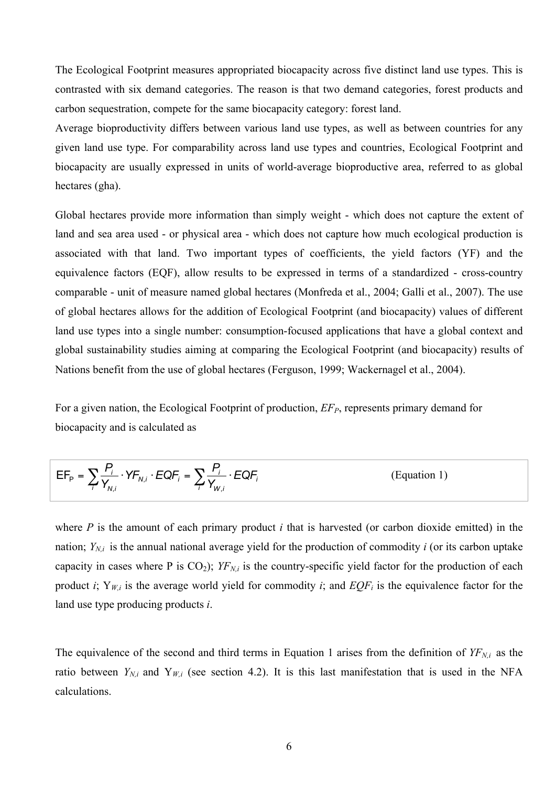The Ecological Footprint measures appropriated biocapacity across five distinct land use types. This is contrasted with six demand categories. The reason is that two demand categories, forest products and carbon sequestration, compete for the same biocapacity category: forest land.

Average bioproductivity differs between various land use types, as well as between countries for any given land use type. For comparability across land use types and countries, Ecological Footprint and biocapacity are usually expressed in units of world-average bioproductive area, referred to as global hectares (gha).

Global hectares provide more information than simply weight - which does not capture the extent of land and sea area used - or physical area - which does not capture how much ecological production is associated with that land. Two important types of coefficients, the yield factors (YF) and the equivalence factors (EQF), allow results to be expressed in terms of a standardized - cross-country comparable - unit of measure named global hectares (Monfreda et al., 2004; Galli et al., 2007). The use of global hectares allows for the addition of Ecological Footprint (and biocapacity) values of different land use types into a single number: consumption-focused applications that have a global context and global sustainability studies aiming at comparing the Ecological Footprint (and biocapacity) results of Nations benefit from the use of global hectares (Ferguson, 1999; Wackernagel et al., 2004).

For a given nation, the Ecological Footprint of production,  $EF<sub>P</sub>$ , represents primary demand for biocapacity and is calculated as

$$
EF_{p} = \sum_{i} \frac{P_{i}}{Y_{N,i}} \cdot YF_{N,i} \cdot EQF_{i} = \sum_{i} \frac{P_{i}}{Y_{W,i}} \cdot EQF_{i}
$$
 (Equation 1)

where *P* is the amount of each primary product *i* that is harvested (or carbon dioxide emitted) in the nation;  $Y_{N,i}$  is the annual national average yield for the production of commodity *i* (or its carbon uptake capacity in cases where P is  $CO_2$ );  $YF_{N,i}$  is the country-specific yield factor for the production of each product *i*;  $Y_{W,i}$  is the average world yield for commodity *i*; and  $EQF_i$  is the equivalence factor for the land use type producing products *i*.

The equivalence of the second and third terms in Equation 1 arises from the definition of  $YF_{N,i}$  as the ratio between  $Y_{N,i}$  and  $Y_{W,i}$  (see section 4.2). It is this last manifestation that is used in the NFA calculations.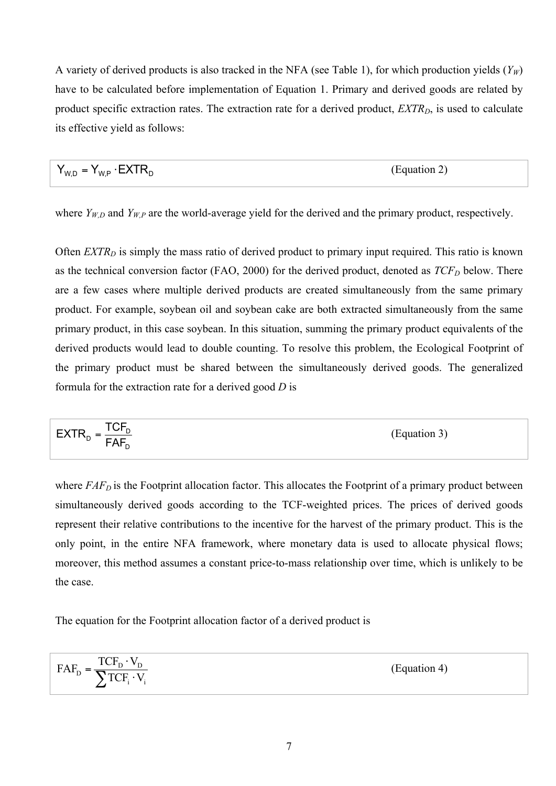A variety of derived products is also tracked in the NFA (see Table 1), for which production yields  $(Y_W)$ have to be calculated before implementation of Equation 1. Primary and derived goods are related by product specific extraction rates. The extraction rate for a derived product, *EXTR<sub>D</sub>*, is used to calculate its effective yield as follows:

$$
Y_{W,D} = Y_{W,P} \cdot EXTR_D \tag{Equation 2}
$$

where  $Y_{W,D}$  and  $Y_{W,P}$  are the world-average yield for the derived and the primary product, respectively.

Often *EXTR<sub>D</sub>* is simply the mass ratio of derived product to primary input required. This ratio is known as the technical conversion factor (FAO, 2000) for the derived product, denoted as  $TCF_D$  below. There are a few cases where multiple derived products are created simultaneously from the same primary product. For example, soybean oil and soybean cake are both extracted simultaneously from the same primary product, in this case soybean. In this situation, summing the primary product equivalents of the derived products would lead to double counting. To resolve this problem, the Ecological Footprint of the primary product must be shared between the simultaneously derived goods. The generalized formula for the extraction rate for a derived good *D* is

$$
EXTR_{D} = \frac{TCF_{D}}{FAF_{D}}
$$
 (Equation 3)

where *FAF<sub>D</sub>* is the Footprint allocation factor. This allocates the Footprint of a primary product between simultaneously derived goods according to the TCF-weighted prices. The prices of derived goods represent their relative contributions to the incentive for the harvest of the primary product. This is the only point, in the entire NFA framework, where monetary data is used to allocate physical flows; moreover, this method assumes a constant price-to-mass relationship over time, which is unlikely to be the case.

The equation for the Footprint allocation factor of a derived product is

$$
FAF_{D} = \frac{TCF_{D} \cdot V_{D}}{\sum TCF_{i} \cdot V_{i}}
$$
 (Equation 4)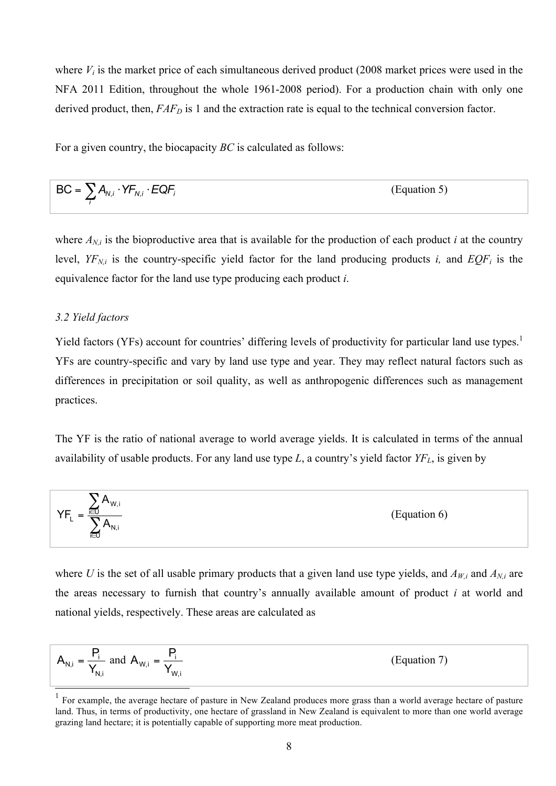where  $V_i$  is the market price of each simultaneous derived product (2008 market prices were used in the NFA 2011 Edition, throughout the whole 1961-2008 period). For a production chain with only one derived product, then,  $FAF<sub>D</sub>$  is 1 and the extraction rate is equal to the technical conversion factor.

For a given country, the biocapacity *BC* is calculated as follows:

$$
BC = \sum_{i} A_{N,i} \cdot YF_{N,i} \cdot EQF_{i}
$$
 (Equation 5)

where  $A_{N,i}$  is the bioproductive area that is available for the production of each product *i* at the country level,  $YF_{N,i}$  is the country-specific yield factor for the land producing products *i*, and  $EQF_i$  is the equivalence factor for the land use type producing each product *i*.

#### *3.2 Yield factors*

Yield factors (YFs) account for countries' differing levels of productivity for particular land use types.<sup>1</sup> YFs are country-specific and vary by land use type and year. They may reflect natural factors such as differences in precipitation or soil quality, as well as anthropogenic differences such as management practices.

The YF is the ratio of national average to world average yields. It is calculated in terms of the annual availability of usable products. For any land use type *L*, a country's yield factor *YFL*, is given by

$$
YF_{L} = \frac{\sum_{i \in U} A_{W,i}}{\sum_{i \in U} A_{N,i}}
$$
 (Equation 6)

where *U* is the set of all usable primary products that a given land use type yields, and  $A_{W,i}$  and  $A_{N,i}$  are the areas necessary to furnish that country's annually available amount of product *i* at world and national yields, respectively. These areas are calculated as

$$
A_{N,i} = \frac{P_i}{Y_{N,i}} \text{ and } A_{W,i} = \frac{P_i}{Y_{W,i}}
$$
 (Equation 7)

 $1$  For example, the average hectare of pasture in New Zealand produces more grass than a world average hectare of pasture land. Thus, in terms of productivity, one hectare of grassland in New Zealand is equivalent to more than one world average grazing land hectare; it is potentially capable of supporting more meat production.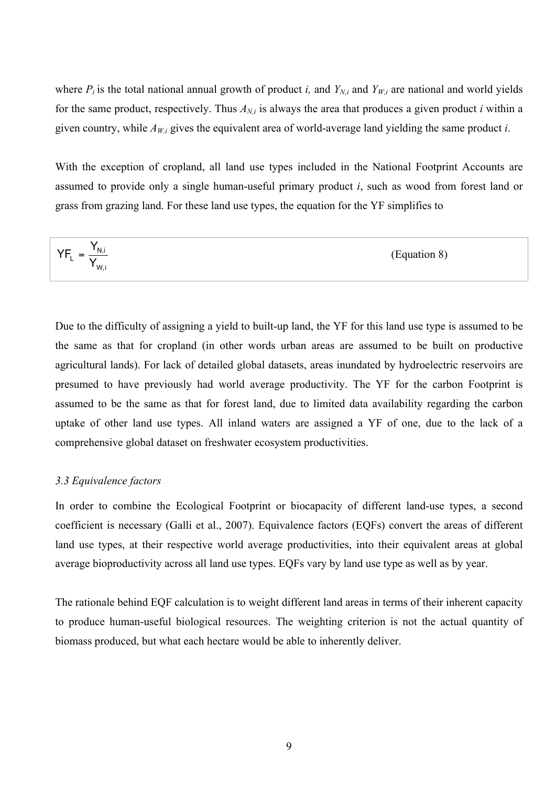where  $P_i$  is the total national annual growth of product *i*, and  $Y_{N,i}$  and  $Y_{W,i}$  are national and world yields for the same product, respectively. Thus  $A_{N,i}$  is always the area that produces a given product *i* within a given country, while  $A_{W_i}$  gives the equivalent area of world-average land yielding the same product *i*.

With the exception of cropland, all land use types included in the National Footprint Accounts are assumed to provide only a single human-useful primary product *i*, such as wood from forest land or grass from grazing land. For these land use types, the equation for the YF simplifies to

$$
YF_{L} = \frac{Y_{N,i}}{Y_{W,i}}
$$
 (Equation 8)

Due to the difficulty of assigning a yield to built-up land, the YF for this land use type is assumed to be the same as that for cropland (in other words urban areas are assumed to be built on productive agricultural lands). For lack of detailed global datasets, areas inundated by hydroelectric reservoirs are presumed to have previously had world average productivity. The YF for the carbon Footprint is assumed to be the same as that for forest land, due to limited data availability regarding the carbon uptake of other land use types. All inland waters are assigned a YF of one, due to the lack of a comprehensive global dataset on freshwater ecosystem productivities.

#### *3.3 Equivalence factors*

In order to combine the Ecological Footprint or biocapacity of different land-use types, a second coefficient is necessary (Galli et al., 2007). Equivalence factors (EQFs) convert the areas of different land use types, at their respective world average productivities, into their equivalent areas at global average bioproductivity across all land use types. EQFs vary by land use type as well as by year.

The rationale behind EQF calculation is to weight different land areas in terms of their inherent capacity to produce human-useful biological resources. The weighting criterion is not the actual quantity of biomass produced, but what each hectare would be able to inherently deliver.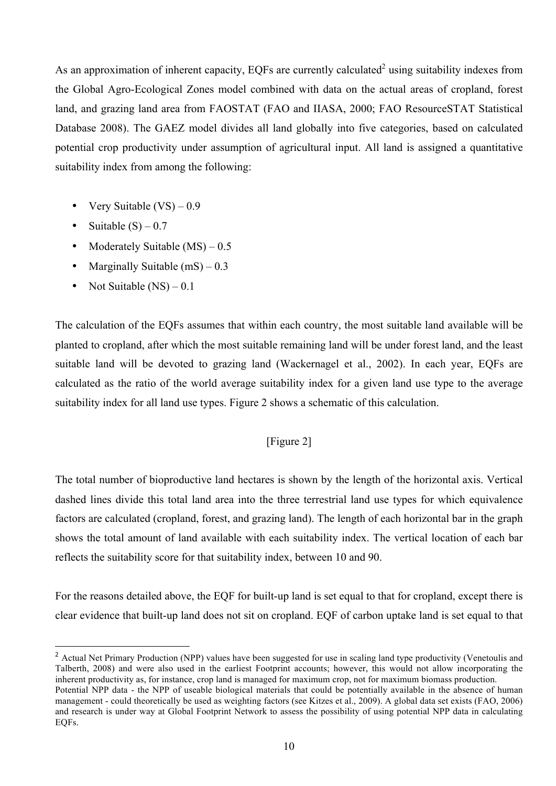As an approximation of inherent capacity, EQFs are currently calculated<sup>2</sup> using suitability indexes from the Global Agro-Ecological Zones model combined with data on the actual areas of cropland, forest land, and grazing land area from FAOSTAT (FAO and IIASA, 2000; FAO ResourceSTAT Statistical Database 2008). The GAEZ model divides all land globally into five categories, based on calculated potential crop productivity under assumption of agricultural input. All land is assigned a quantitative suitability index from among the following:

- Very Suitable  $(VS) 0.9$
- Suitable  $(S)$  0.7

 $\overline{a}$ 

- Moderately Suitable (MS) 0.5
- Marginally Suitable  $(mS) 0.3$
- Not Suitable  $(NS)-0.1$

The calculation of the EQFs assumes that within each country, the most suitable land available will be planted to cropland, after which the most suitable remaining land will be under forest land, and the least suitable land will be devoted to grazing land (Wackernagel et al., 2002). In each year, EQFs are calculated as the ratio of the world average suitability index for a given land use type to the average suitability index for all land use types. Figure 2 shows a schematic of this calculation.

# [Figure 2]

The total number of bioproductive land hectares is shown by the length of the horizontal axis. Vertical dashed lines divide this total land area into the three terrestrial land use types for which equivalence factors are calculated (cropland, forest, and grazing land). The length of each horizontal bar in the graph shows the total amount of land available with each suitability index. The vertical location of each bar reflects the suitability score for that suitability index, between 10 and 90.

For the reasons detailed above, the EQF for built-up land is set equal to that for cropland, except there is clear evidence that built-up land does not sit on cropland. EQF of carbon uptake land is set equal to that

<sup>&</sup>lt;sup>2</sup> Actual Net Primary Production (NPP) values have been suggested for use in scaling land type productivity (Venetoulis and Talberth, 2008) and were also used in the earliest Footprint accounts; however, this would not allow incorporating the inherent productivity as, for instance, crop land is managed for maximum crop, not for maximum biomass production.

Potential NPP data - the NPP of useable biological materials that could be potentially available in the absence of human management - could theoretically be used as weighting factors (see Kitzes et al., 2009). A global data set exists (FAO, 2006) and research is under way at Global Footprint Network to assess the possibility of using potential NPP data in calculating EQFs.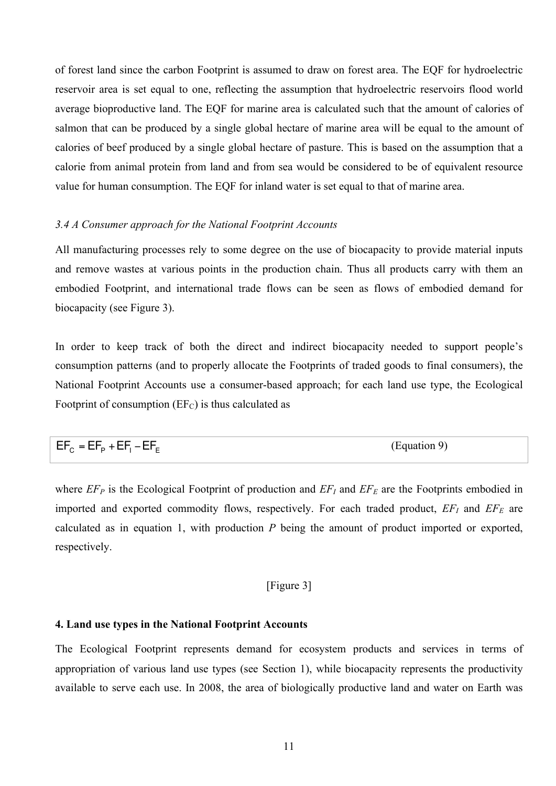of forest land since the carbon Footprint is assumed to draw on forest area. The EQF for hydroelectric reservoir area is set equal to one, reflecting the assumption that hydroelectric reservoirs flood world average bioproductive land. The EQF for marine area is calculated such that the amount of calories of salmon that can be produced by a single global hectare of marine area will be equal to the amount of calories of beef produced by a single global hectare of pasture. This is based on the assumption that a calorie from animal protein from land and from sea would be considered to be of equivalent resource value for human consumption. The EQF for inland water is set equal to that of marine area.

#### *3.4 A Consumer approach for the National Footprint Accounts*

All manufacturing processes rely to some degree on the use of biocapacity to provide material inputs and remove wastes at various points in the production chain. Thus all products carry with them an embodied Footprint, and international trade flows can be seen as flows of embodied demand for biocapacity (see Figure 3).

In order to keep track of both the direct and indirect biocapacity needed to support people's consumption patterns (and to properly allocate the Footprints of traded goods to final consumers), the National Footprint Accounts use a consumer-based approach; for each land use type, the Ecological Footprint of consumption  $(EF_C)$  is thus calculated as

| $EF_c = EF_p + EF_1 - EF_F$ | (Equation 9) |
|-----------------------------|--------------|
|-----------------------------|--------------|

where  $EF<sub>P</sub>$  is the Ecological Footprint of production and  $EF<sub>I</sub>$  and  $EF<sub>E</sub>$  are the Footprints embodied in imported and exported commodity flows, respectively. For each traded product,  $EF_I$  and  $EF_E$  are calculated as in equation 1, with production *P* being the amount of product imported or exported, respectively.

## [Figure 3]

#### **4. Land use types in the National Footprint Accounts**

The Ecological Footprint represents demand for ecosystem products and services in terms of appropriation of various land use types (see Section 1), while biocapacity represents the productivity available to serve each use. In 2008, the area of biologically productive land and water on Earth was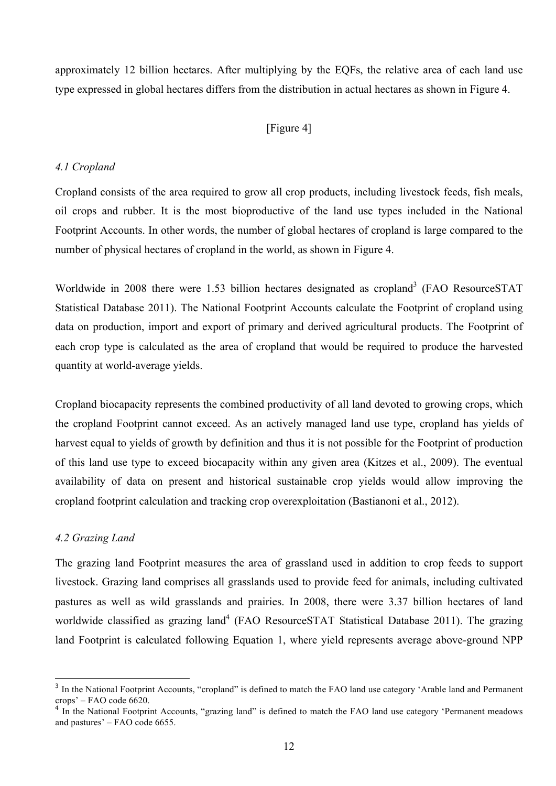approximately 12 billion hectares. After multiplying by the EQFs, the relative area of each land use type expressed in global hectares differs from the distribution in actual hectares as shown in Figure 4.

# [Figure 4]

#### *4.1 Cropland*

Cropland consists of the area required to grow all crop products, including livestock feeds, fish meals, oil crops and rubber. It is the most bioproductive of the land use types included in the National Footprint Accounts. In other words, the number of global hectares of cropland is large compared to the number of physical hectares of cropland in the world, as shown in Figure 4.

Worldwide in 2008 there were 1.53 billion hectares designated as cropland<sup>3</sup> (FAO ResourceSTAT Statistical Database 2011). The National Footprint Accounts calculate the Footprint of cropland using data on production, import and export of primary and derived agricultural products. The Footprint of each crop type is calculated as the area of cropland that would be required to produce the harvested quantity at world-average yields.

Cropland biocapacity represents the combined productivity of all land devoted to growing crops, which the cropland Footprint cannot exceed. As an actively managed land use type, cropland has yields of harvest equal to yields of growth by definition and thus it is not possible for the Footprint of production of this land use type to exceed biocapacity within any given area (Kitzes et al., 2009). The eventual availability of data on present and historical sustainable crop yields would allow improving the cropland footprint calculation and tracking crop overexploitation (Bastianoni et al., 2012).

#### *4.2 Grazing Land*

 $\overline{a}$ 

The grazing land Footprint measures the area of grassland used in addition to crop feeds to support livestock. Grazing land comprises all grasslands used to provide feed for animals, including cultivated pastures as well as wild grasslands and prairies. In 2008, there were 3.37 billion hectares of land worldwide classified as grazing land<sup>4</sup> (FAO Resource STAT Statistical Database 2011). The grazing land Footprint is calculated following Equation 1, where yield represents average above-ground NPP

<sup>&</sup>lt;sup>3</sup> In the National Footprint Accounts, "cropland" is defined to match the FAO land use category 'Arable land and Permanent crops' – FAO code 6620.

<sup>&</sup>lt;sup>4</sup> In the National Footprint Accounts, "grazing land" is defined to match the FAO land use category 'Permanent meadows and pastures' – FAO code 6655.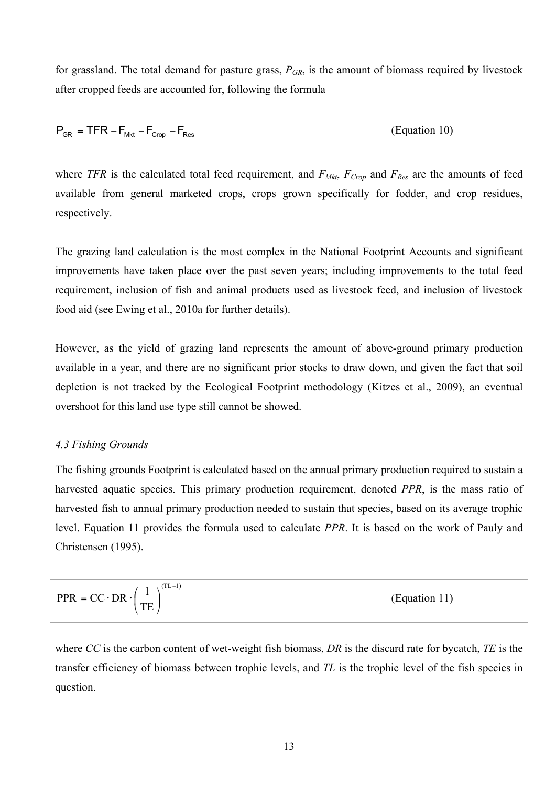for grassland. The total demand for pasture grass,  $P_{GR}$ , is the amount of biomass required by livestock after cropped feeds are accounted for, following the formula

| $P_{GR}$ = TFR – $F_{Mkt}$ – $F_{Crop}$ – $F_{Res}$ | (Equation 10) |
|-----------------------------------------------------|---------------|
|-----------------------------------------------------|---------------|

where *TFR* is the calculated total feed requirement, and  $F_{Mkt}$ ,  $F_{Crop}$  and  $F_{Res}$  are the amounts of feed available from general marketed crops, crops grown specifically for fodder, and crop residues, respectively.

The grazing land calculation is the most complex in the National Footprint Accounts and significant improvements have taken place over the past seven years; including improvements to the total feed requirement, inclusion of fish and animal products used as livestock feed, and inclusion of livestock food aid (see Ewing et al., 2010a for further details).

However, as the yield of grazing land represents the amount of above-ground primary production available in a year, and there are no significant prior stocks to draw down, and given the fact that soil depletion is not tracked by the Ecological Footprint methodology (Kitzes et al., 2009), an eventual overshoot for this land use type still cannot be showed.

# *4.3 Fishing Grounds*

The fishing grounds Footprint is calculated based on the annual primary production required to sustain a harvested aquatic species. This primary production requirement, denoted *PPR*, is the mass ratio of harvested fish to annual primary production needed to sustain that species, based on its average trophic level. Equation 11 provides the formula used to calculate *PPR*. It is based on the work of Pauly and Christensen (1995).

$$
PPR = CC \cdot DR \cdot \left(\frac{1}{TE}\right)^{(TL-1)}
$$
 (Equation 11)

where *CC* is the carbon content of wet-weight fish biomass, *DR* is the discard rate for bycatch, *TE* is the transfer efficiency of biomass between trophic levels, and *TL* is the trophic level of the fish species in question.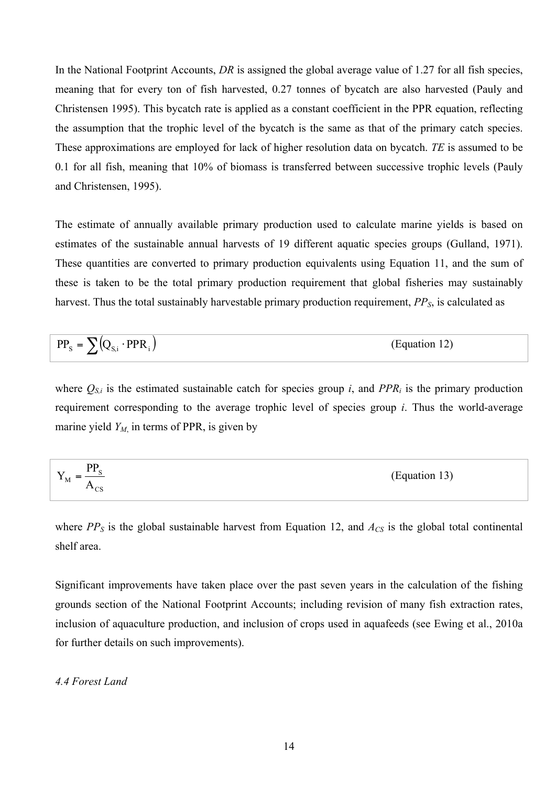In the National Footprint Accounts, *DR* is assigned the global average value of 1.27 for all fish species, meaning that for every ton of fish harvested, 0.27 tonnes of bycatch are also harvested (Pauly and Christensen 1995). This bycatch rate is applied as a constant coefficient in the PPR equation, reflecting the assumption that the trophic level of the bycatch is the same as that of the primary catch species. These approximations are employed for lack of higher resolution data on bycatch. *TE* is assumed to be 0.1 for all fish, meaning that 10% of biomass is transferred between successive trophic levels (Pauly and Christensen, 1995).

The estimate of annually available primary production used to calculate marine yields is based on estimates of the sustainable annual harvests of 19 different aquatic species groups (Gulland, 1971). These quantities are converted to primary production equivalents using Equation 11, and the sum of these is taken to be the total primary production requirement that global fisheries may sustainably harvest. Thus the total sustainably harvestable primary production requirement, *PPS*, is calculated as

$$
PP_{s} = \sum (Q_{s,i} \cdot PPR_{i})
$$
 (Equation 12)

where  $Q_{S,i}$  is the estimated sustainable catch for species group *i*, and  $PPR_i$  is the primary production requirement corresponding to the average trophic level of species group *i*. Thus the world-average marine yield  $Y_M$ , in terms of PPR, is given by

$$
Y_{\rm M} = \frac{PP_{\rm S}}{A_{\rm CS}}
$$
 (Equation 13)

where  $PP<sub>S</sub>$  is the global sustainable harvest from Equation 12, and  $A<sub>CS</sub>$  is the global total continental shelf area.

Significant improvements have taken place over the past seven years in the calculation of the fishing grounds section of the National Footprint Accounts; including revision of many fish extraction rates, inclusion of aquaculture production, and inclusion of crops used in aquafeeds (see Ewing et al., 2010a for further details on such improvements).

## *4.4 Forest Land*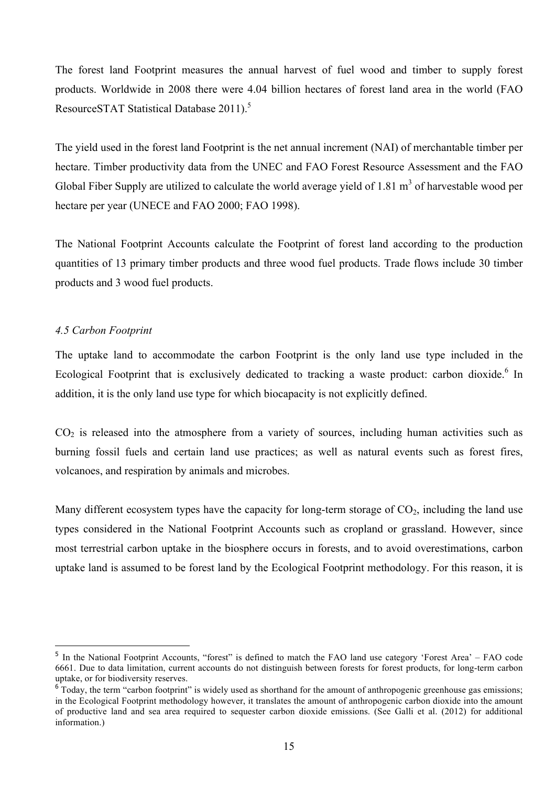The forest land Footprint measures the annual harvest of fuel wood and timber to supply forest products. Worldwide in 2008 there were 4.04 billion hectares of forest land area in the world (FAO ResourceSTAT Statistical Database 2011).<sup>5</sup>

The yield used in the forest land Footprint is the net annual increment (NAI) of merchantable timber per hectare. Timber productivity data from the UNEC and FAO Forest Resource Assessment and the FAO Global Fiber Supply are utilized to calculate the world average yield of 1.81  $m<sup>3</sup>$  of harvestable wood per hectare per year (UNECE and FAO 2000; FAO 1998).

The National Footprint Accounts calculate the Footprint of forest land according to the production quantities of 13 primary timber products and three wood fuel products. Trade flows include 30 timber products and 3 wood fuel products.

## *4.5 Carbon Footprint*

 $\overline{a}$ 

The uptake land to accommodate the carbon Footprint is the only land use type included in the Ecological Footprint that is exclusively dedicated to tracking a waste product: carbon dioxide.<sup>6</sup> In addition, it is the only land use type for which biocapacity is not explicitly defined.

 $CO<sub>2</sub>$  is released into the atmosphere from a variety of sources, including human activities such as burning fossil fuels and certain land use practices; as well as natural events such as forest fires, volcanoes, and respiration by animals and microbes.

Many different ecosystem types have the capacity for long-term storage of  $CO<sub>2</sub>$ , including the land use types considered in the National Footprint Accounts such as cropland or grassland. However, since most terrestrial carbon uptake in the biosphere occurs in forests, and to avoid overestimations, carbon uptake land is assumed to be forest land by the Ecological Footprint methodology. For this reason, it is

<sup>&</sup>lt;sup>5</sup> In the National Footprint Accounts, "forest" is defined to match the FAO land use category 'Forest Area' – FAO code 6661. Due to data limitation, current accounts do not distinguish between forests for forest products, for long-term carbon uptake, or for biodiversity reserves.

<sup>&</sup>lt;sup>6</sup> Today, the term "carbon footprint" is widely used as shorthand for the amount of anthropogenic greenhouse gas emissions; in the Ecological Footprint methodology however, it translates the amount of anthropogenic carbon dioxide into the amount of productive land and sea area required to sequester carbon dioxide emissions. (See Galli et al. (2012) for additional information.)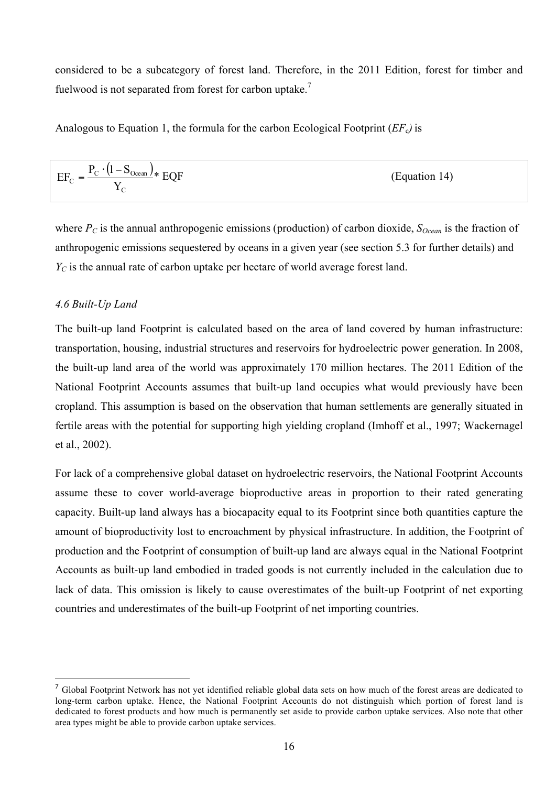considered to be a subcategory of forest land. Therefore, in the 2011 Edition, forest for timber and fuelwood is not separated from forest for carbon uptake.<sup>7</sup>

Analogous to Equation 1, the formula for the carbon Ecological Footprint (*EF*c*)* is

$$
EF_{C} = \frac{P_{C} \cdot (1 - S_{Ocean})}{Y_{C}} * EQF
$$
 (Equation 14)

where  $P_C$  is the annual anthropogenic emissions (production) of carbon dioxide,  $S_{Ocean}$  is the fraction of anthropogenic emissions sequestered by oceans in a given year (see section 5.3 for further details) and *Y<sub>C</sub>* is the annual rate of carbon uptake per hectare of world average forest land.

# *4.6 Built-Up Land*

 $\overline{a}$ 

The built-up land Footprint is calculated based on the area of land covered by human infrastructure: transportation, housing, industrial structures and reservoirs for hydroelectric power generation. In 2008, the built-up land area of the world was approximately 170 million hectares. The 2011 Edition of the National Footprint Accounts assumes that built-up land occupies what would previously have been cropland. This assumption is based on the observation that human settlements are generally situated in fertile areas with the potential for supporting high yielding cropland (Imhoff et al., 1997; Wackernagel et al., 2002).

For lack of a comprehensive global dataset on hydroelectric reservoirs, the National Footprint Accounts assume these to cover world-average bioproductive areas in proportion to their rated generating capacity. Built-up land always has a biocapacity equal to its Footprint since both quantities capture the amount of bioproductivity lost to encroachment by physical infrastructure. In addition, the Footprint of production and the Footprint of consumption of built-up land are always equal in the National Footprint Accounts as built-up land embodied in traded goods is not currently included in the calculation due to lack of data. This omission is likely to cause overestimates of the built-up Footprint of net exporting countries and underestimates of the built-up Footprint of net importing countries.

<sup>&</sup>lt;sup>7</sup> Global Footprint Network has not yet identified reliable global data sets on how much of the forest areas are dedicated to long-term carbon uptake. Hence, the National Footprint Accounts do not distinguish which portion of forest land is dedicated to forest products and how much is permanently set aside to provide carbon uptake services. Also note that other area types might be able to provide carbon uptake services.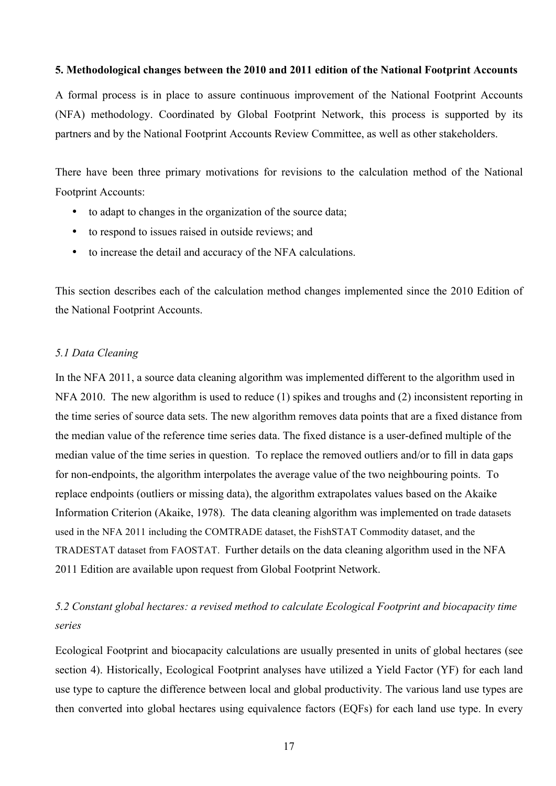#### **5. Methodological changes between the 2010 and 2011 edition of the National Footprint Accounts**

A formal process is in place to assure continuous improvement of the National Footprint Accounts (NFA) methodology. Coordinated by Global Footprint Network, this process is supported by its partners and by the National Footprint Accounts Review Committee, as well as other stakeholders.

There have been three primary motivations for revisions to the calculation method of the National Footprint Accounts:

- to adapt to changes in the organization of the source data;
- to respond to issues raised in outside reviews; and
- to increase the detail and accuracy of the NFA calculations.

This section describes each of the calculation method changes implemented since the 2010 Edition of the National Footprint Accounts.

## *5.1 Data Cleaning*

In the NFA 2011, a source data cleaning algorithm was implemented different to the algorithm used in NFA 2010. The new algorithm is used to reduce (1) spikes and troughs and (2) inconsistent reporting in the time series of source data sets. The new algorithm removes data points that are a fixed distance from the median value of the reference time series data. The fixed distance is a user-defined multiple of the median value of the time series in question. To replace the removed outliers and/or to fill in data gaps for non-endpoints, the algorithm interpolates the average value of the two neighbouring points. To replace endpoints (outliers or missing data), the algorithm extrapolates values based on the Akaike Information Criterion (Akaike, 1978). The data cleaning algorithm was implemented on trade datasets used in the NFA 2011 including the COMTRADE dataset, the FishSTAT Commodity dataset, and the TRADESTAT dataset from FAOSTAT. Further details on the data cleaning algorithm used in the NFA 2011 Edition are available upon request from Global Footprint Network.

# *5.2 Constant global hectares: a revised method to calculate Ecological Footprint and biocapacity time series*

Ecological Footprint and biocapacity calculations are usually presented in units of global hectares (see section 4). Historically, Ecological Footprint analyses have utilized a Yield Factor (YF) for each land use type to capture the difference between local and global productivity. The various land use types are then converted into global hectares using equivalence factors (EQFs) for each land use type. In every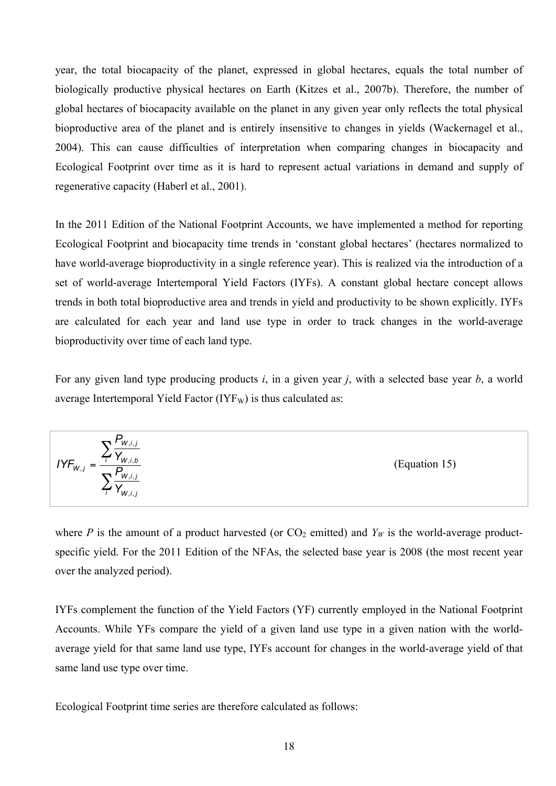year, the total biocapacity of the planet, expressed in global hectares, equals the total number of biologically productive physical hectares on Earth (Kitzes et al., 2007b). Therefore, the number of global hectares of biocapacity available on the planet in any given year only reflects the total physical bioproductive area of the planet and is entirely insensitive to changes in yields (Wackernagel et al., 2004). This can cause difficulties of interpretation when comparing changes in biocapacity and Ecological Footprint over time as it is hard to represent actual variations in demand and supply of regenerative capacity (Haberl et al., 2001).

In the 2011 Edition of the National Footprint Accounts, we have implemented a method for reporting Ecological Footprint and biocapacity time trends in 'constant global hectares' (hectares normalized to have world-average bioproductivity in a single reference year). This is realized via the introduction of a set of world-average Intertemporal Yield Factors (IYFs). A constant global hectare concept allows trends in both total bioproductive area and trends in yield and productivity to be shown explicitly. IYFs are calculated for each year and land use type in order to track changes in the world-average bioproductivity over time of each land type.

For any given land type producing products *i*, in a given year *j*, with a selected base year *b*, a world average Intertemporal Yield Factor  $(IYF_W)$  is thus calculated as:

$$
IYF_{w,j} = \frac{\sum_{i} \frac{P_{w,i,j}}{Y_{w,i,b}}}{\sum_{i} \frac{P_{w,i,j}}{Y_{w,i,j}}}
$$
(Equation 15)

where *P* is the amount of a product harvested (or  $CO_2$  emitted) and  $Y_W$  is the world-average productspecific yield. For the 2011 Edition of the NFAs, the selected base year is 2008 (the most recent year over the analyzed period).

IYFs complement the function of the Yield Factors (YF) currently employed in the National Footprint Accounts. While YFs compare the yield of a given land use type in a given nation with the worldaverage yield for that same land use type, IYFs account for changes in the world-average yield of that same land use type over time.

Ecological Footprint time series are therefore calculated as follows: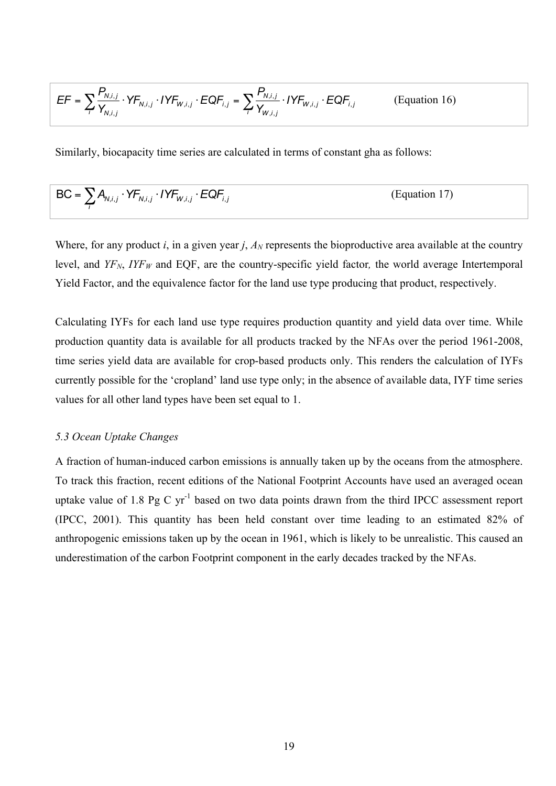$$
EF = \sum_{i} \frac{P_{N,i,j}}{Y_{N,i,j}} \cdot YF_{N,i,j} \cdot IYF_{W,i,j} \cdot EQF_{i,j} = \sum_{i} \frac{P_{N,i,j}}{Y_{W,i,j}} \cdot IYF_{W,i,j} \cdot EQF_{i,j}
$$
 (Equation 16)

Similarly, biocapacity time series are calculated in terms of constant gha as follows:

$$
BC = \sum_{i} A_{N,i,j} \cdot YF_{N,i,j} \cdot IYF_{W,i,j} \cdot EQF_{i,j}
$$
 (Equation 17)

Where, for any product *i*, in a given year *j*,  $A_N$  represents the bioproductive area available at the country level, and  $YF_N$ ,  $IYF_W$  and EQF, are the country-specific yield factor, the world average Intertemporal Yield Factor, and the equivalence factor for the land use type producing that product, respectively.

Calculating IYFs for each land use type requires production quantity and yield data over time. While production quantity data is available for all products tracked by the NFAs over the period 1961-2008, time series yield data are available for crop-based products only. This renders the calculation of IYFs currently possible for the 'cropland' land use type only; in the absence of available data, IYF time series values for all other land types have been set equal to 1.

#### *5.3 Ocean Uptake Changes*

A fraction of human-induced carbon emissions is annually taken up by the oceans from the atmosphere. To track this fraction, recent editions of the National Footprint Accounts have used an averaged ocean uptake value of 1.8 Pg C  $yr^{-1}$  based on two data points drawn from the third IPCC assessment report (IPCC, 2001). This quantity has been held constant over time leading to an estimated 82% of anthropogenic emissions taken up by the ocean in 1961, which is likely to be unrealistic. This caused an underestimation of the carbon Footprint component in the early decades tracked by the NFAs.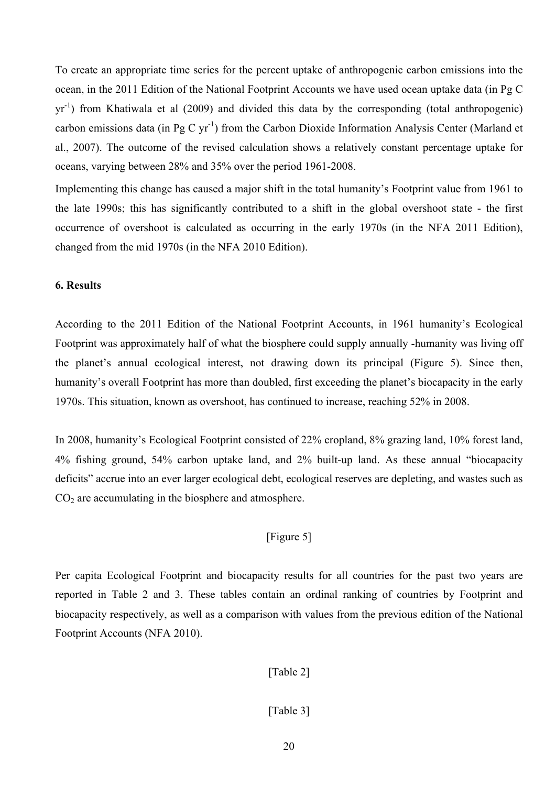To create an appropriate time series for the percent uptake of anthropogenic carbon emissions into the ocean, in the 2011 Edition of the National Footprint Accounts we have used ocean uptake data (in Pg C yr<sup>-1</sup>) from Khatiwala et al (2009) and divided this data by the corresponding (total anthropogenic) carbon emissions data (in Pg C yr<sup>-1</sup>) from the Carbon Dioxide Information Analysis Center (Marland et al., 2007). The outcome of the revised calculation shows a relatively constant percentage uptake for oceans, varying between 28% and 35% over the period 1961-2008.

Implementing this change has caused a major shift in the total humanity's Footprint value from 1961 to the late 1990s; this has significantly contributed to a shift in the global overshoot state - the first occurrence of overshoot is calculated as occurring in the early 1970s (in the NFA 2011 Edition), changed from the mid 1970s (in the NFA 2010 Edition).

#### **6. Results**

According to the 2011 Edition of the National Footprint Accounts, in 1961 humanity's Ecological Footprint was approximately half of what the biosphere could supply annually -humanity was living off the planet's annual ecological interest, not drawing down its principal (Figure 5). Since then, humanity's overall Footprint has more than doubled, first exceeding the planet's biocapacity in the early 1970s. This situation, known as overshoot, has continued to increase, reaching 52% in 2008.

In 2008, humanity's Ecological Footprint consisted of 22% cropland, 8% grazing land, 10% forest land, 4% fishing ground, 54% carbon uptake land, and 2% built-up land. As these annual "biocapacity deficits" accrue into an ever larger ecological debt, ecological reserves are depleting, and wastes such as  $CO<sub>2</sub>$  are accumulating in the biosphere and atmosphere.

# [Figure 5]

Per capita Ecological Footprint and biocapacity results for all countries for the past two years are reported in Table 2 and 3. These tables contain an ordinal ranking of countries by Footprint and biocapacity respectively, as well as a comparison with values from the previous edition of the National Footprint Accounts (NFA 2010).

## [Table 2]

## [Table 3]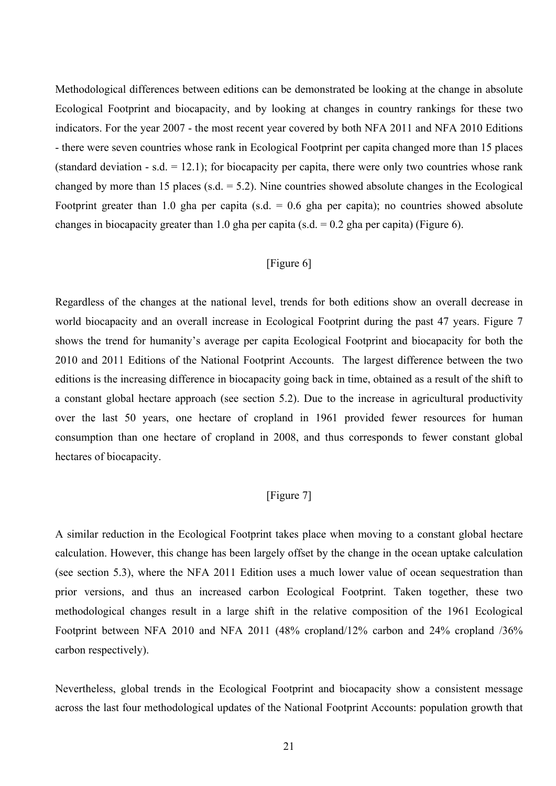Methodological differences between editions can be demonstrated be looking at the change in absolute Ecological Footprint and biocapacity, and by looking at changes in country rankings for these two indicators. For the year 2007 - the most recent year covered by both NFA 2011 and NFA 2010 Editions - there were seven countries whose rank in Ecological Footprint per capita changed more than 15 places (standard deviation - s.d.  $= 12.1$ ); for biocapacity per capita, there were only two countries whose rank changed by more than 15 places (s.d.  $= 5.2$ ). Nine countries showed absolute changes in the Ecological Footprint greater than 1.0 gha per capita (s.d.  $= 0.6$  gha per capita); no countries showed absolute changes in biocapacity greater than 1.0 gha per capita (s.d.  $= 0.2$  gha per capita) (Figure 6).

# [Figure 6]

Regardless of the changes at the national level, trends for both editions show an overall decrease in world biocapacity and an overall increase in Ecological Footprint during the past 47 years. Figure 7 shows the trend for humanity's average per capita Ecological Footprint and biocapacity for both the 2010 and 2011 Editions of the National Footprint Accounts. The largest difference between the two editions is the increasing difference in biocapacity going back in time, obtained as a result of the shift to a constant global hectare approach (see section 5.2). Due to the increase in agricultural productivity over the last 50 years, one hectare of cropland in 1961 provided fewer resources for human consumption than one hectare of cropland in 2008, and thus corresponds to fewer constant global hectares of biocapacity.

# [Figure 7]

A similar reduction in the Ecological Footprint takes place when moving to a constant global hectare calculation. However, this change has been largely offset by the change in the ocean uptake calculation (see section 5.3), where the NFA 2011 Edition uses a much lower value of ocean sequestration than prior versions, and thus an increased carbon Ecological Footprint. Taken together, these two methodological changes result in a large shift in the relative composition of the 1961 Ecological Footprint between NFA 2010 and NFA 2011 (48% cropland/12% carbon and 24% cropland /36% carbon respectively).

Nevertheless, global trends in the Ecological Footprint and biocapacity show a consistent message across the last four methodological updates of the National Footprint Accounts: population growth that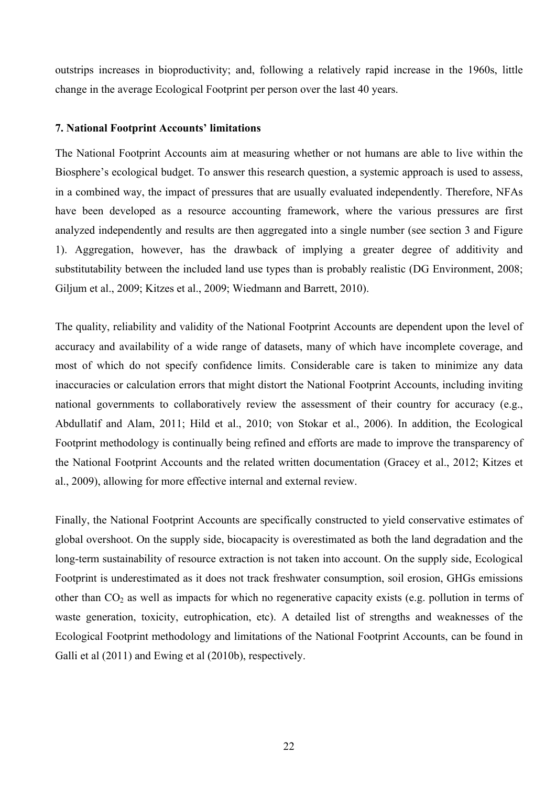outstrips increases in bioproductivity; and, following a relatively rapid increase in the 1960s, little change in the average Ecological Footprint per person over the last 40 years.

#### **7. National Footprint Accounts' limitations**

The National Footprint Accounts aim at measuring whether or not humans are able to live within the Biosphere's ecological budget. To answer this research question, a systemic approach is used to assess, in a combined way, the impact of pressures that are usually evaluated independently. Therefore, NFAs have been developed as a resource accounting framework, where the various pressures are first analyzed independently and results are then aggregated into a single number (see section 3 and Figure 1). Aggregation, however, has the drawback of implying a greater degree of additivity and substitutability between the included land use types than is probably realistic (DG Environment, 2008; Giljum et al., 2009; Kitzes et al., 2009; Wiedmann and Barrett, 2010).

The quality, reliability and validity of the National Footprint Accounts are dependent upon the level of accuracy and availability of a wide range of datasets, many of which have incomplete coverage, and most of which do not specify confidence limits. Considerable care is taken to minimize any data inaccuracies or calculation errors that might distort the National Footprint Accounts, including inviting national governments to collaboratively review the assessment of their country for accuracy (e.g., Abdullatif and Alam, 2011; Hild et al., 2010; von Stokar et al., 2006). In addition, the Ecological Footprint methodology is continually being refined and efforts are made to improve the transparency of the National Footprint Accounts and the related written documentation (Gracey et al., 2012; Kitzes et al., 2009), allowing for more effective internal and external review.

Finally, the National Footprint Accounts are specifically constructed to yield conservative estimates of global overshoot. On the supply side, biocapacity is overestimated as both the land degradation and the long-term sustainability of resource extraction is not taken into account. On the supply side, Ecological Footprint is underestimated as it does not track freshwater consumption, soil erosion, GHGs emissions other than  $CO<sub>2</sub>$  as well as impacts for which no regenerative capacity exists (e.g. pollution in terms of waste generation, toxicity, eutrophication, etc). A detailed list of strengths and weaknesses of the Ecological Footprint methodology and limitations of the National Footprint Accounts, can be found in Galli et al (2011) and Ewing et al (2010b), respectively.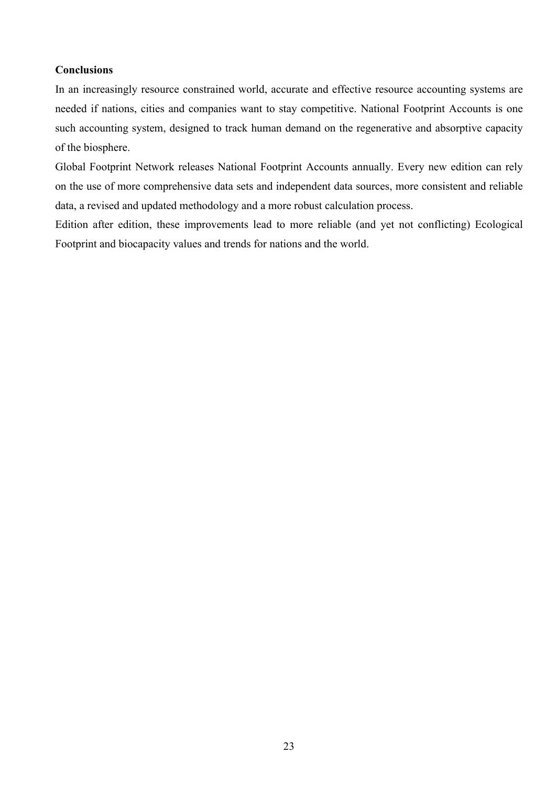## **Conclusions**

In an increasingly resource constrained world, accurate and effective resource accounting systems are needed if nations, cities and companies want to stay competitive. National Footprint Accounts is one such accounting system, designed to track human demand on the regenerative and absorptive capacity of the biosphere.

Global Footprint Network releases National Footprint Accounts annually. Every new edition can rely on the use of more comprehensive data sets and independent data sources, more consistent and reliable data, a revised and updated methodology and a more robust calculation process.

Edition after edition, these improvements lead to more reliable (and yet not conflicting) Ecological Footprint and biocapacity values and trends for nations and the world.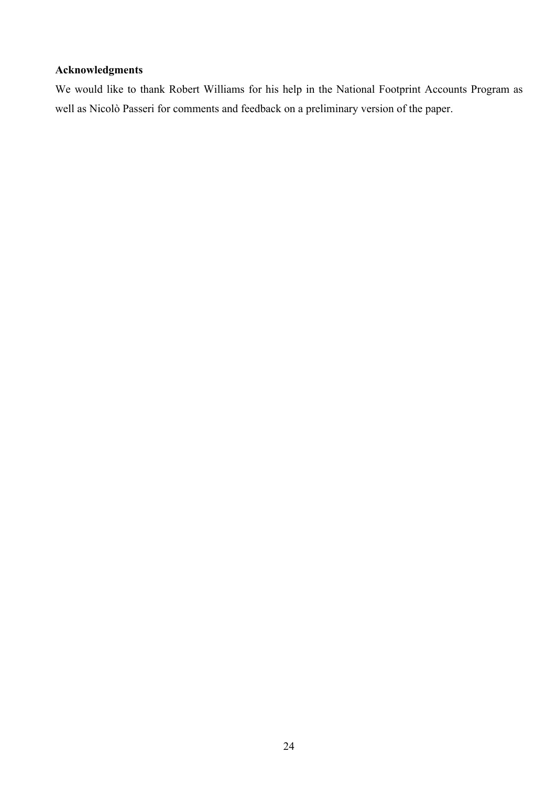# **Acknowledgments**

We would like to thank Robert Williams for his help in the National Footprint Accounts Program as well as Nicolò Passeri for comments and feedback on a preliminary version of the paper.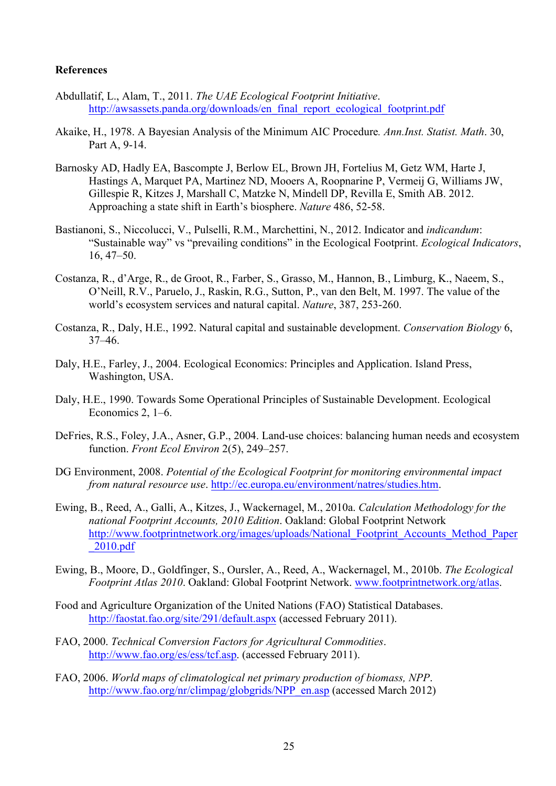## **References**

- Abdullatif, L., Alam, T., 2011. *The UAE Ecological Footprint Initiative*. http://awsassets.panda.org/downloads/en\_final\_report\_ecological\_footprint.pdf
- Akaike, H., 1978. A Bayesian Analysis of the Minimum AIC Procedure*. Ann.Inst. Statist. Math*. 30, Part A, 9-14.
- Barnosky AD, Hadly EA, Bascompte J, Berlow EL, Brown JH, Fortelius M, Getz WM, Harte J, Hastings A, Marquet PA, Martinez ND, Mooers A, Roopnarine P, Vermeij G, Williams JW, Gillespie R, Kitzes J, Marshall C, Matzke N, Mindell DP, Revilla E, Smith AB. 2012. Approaching a state shift in Earth's biosphere. *Nature* 486, 52-58.
- Bastianoni, S., Niccolucci, V., Pulselli, R.M., Marchettini, N., 2012. Indicator and *indicandum*: "Sustainable way" vs "prevailing conditions" in the Ecological Footprint. *Ecological Indicators*, 16, 47–50.
- Costanza, R., d'Arge, R., de Groot, R., Farber, S., Grasso, M., Hannon, B., Limburg, K., Naeem, S., O'Neill, R.V., Paruelo, J., Raskin, R.G., Sutton, P., van den Belt, M. 1997. The value of the world's ecosystem services and natural capital. *Nature*, 387, 253-260.
- Costanza, R., Daly, H.E., 1992. Natural capital and sustainable development. *Conservation Biology* 6, 37–46.
- Daly, H.E., Farley, J., 2004. Ecological Economics: Principles and Application. Island Press, Washington, USA.
- Daly, H.E., 1990. Towards Some Operational Principles of Sustainable Development. Ecological Economics 2, 1–6.
- DeFries, R.S., Foley, J.A., Asner, G.P., 2004. Land-use choices: balancing human needs and ecosystem function. *Front Ecol Environ* 2(5), 249–257.
- DG Environment, 2008. *Potential of the Ecological Footprint for monitoring environmental impact from natural resource use*. http://ec.europa.eu/environment/natres/studies.htm.
- Ewing, B., Reed, A., Galli, A., Kitzes, J., Wackernagel, M., 2010a. *Calculation Methodology for the national Footprint Accounts, 2010 Edition*. Oakland: Global Footprint Network http://www.footprintnetwork.org/images/uploads/National\_Footprint\_Accounts\_Method\_Paper \_2010.pdf
- Ewing, B., Moore, D., Goldfinger, S., Oursler, A., Reed, A., Wackernagel, M., 2010b. *The Ecological Footprint Atlas 2010*. Oakland: Global Footprint Network. www.footprintnetwork.org/atlas.
- Food and Agriculture Organization of the United Nations (FAO) Statistical Databases. http://faostat.fao.org/site/291/default.aspx (accessed February 2011).
- FAO, 2000. *Technical Conversion Factors for Agricultural Commodities*. http://www.fao.org/es/ess/tcf.asp. (accessed February 2011).
- FAO, 2006. *World maps of climatological net primary production of biomass, NPP*. http://www.fao.org/nr/climpag/globgrids/NPP\_en.asp (accessed March 2012)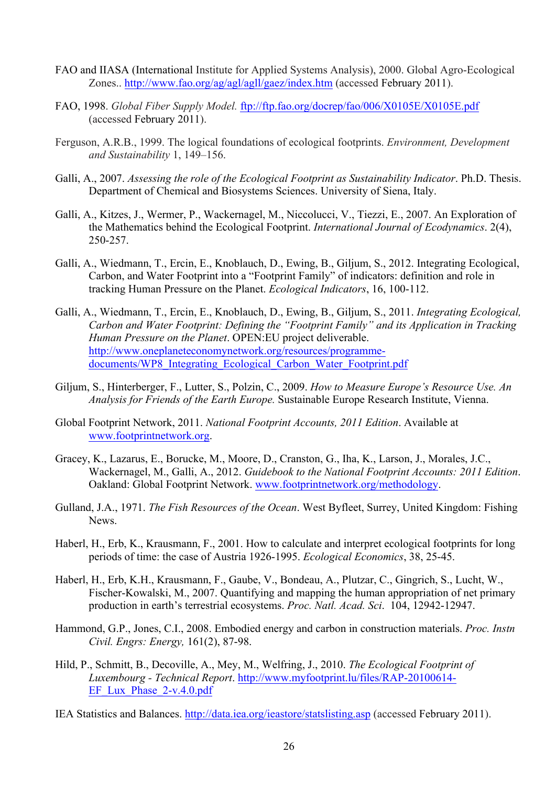- FAO and IIASA (International Institute for Applied Systems Analysis), 2000. Global Agro-Ecological Zones.. http://www.fao.org/ag/agl/agll/gaez/index.htm (accessed February 2011).
- FAO, 1998. *Global Fiber Supply Model.* ftp://ftp.fao.org/docrep/fao/006/X0105E/X0105E.pdf (accessed February 2011).
- Ferguson, A.R.B., 1999. The logical foundations of ecological footprints. *Environment, Development and Sustainability* 1, 149–156.
- Galli, A., 2007. *Assessing the role of the Ecological Footprint as Sustainability Indicator*. Ph.D. Thesis. Department of Chemical and Biosystems Sciences. University of Siena, Italy.
- Galli, A., Kitzes, J., Wermer, P., Wackernagel, M., Niccolucci, V., Tiezzi, E., 2007. An Exploration of the Mathematics behind the Ecological Footprint. *International Journal of Ecodynamics*. 2(4), 250-257.
- Galli, A., Wiedmann, T., Ercin, E., Knoblauch, D., Ewing, B., Giljum, S., 2012. Integrating Ecological, Carbon, and Water Footprint into a "Footprint Family" of indicators: definition and role in tracking Human Pressure on the Planet. *Ecological Indicators*, 16, 100-112.
- Galli, A., Wiedmann, T., Ercin, E., Knoblauch, D., Ewing, B., Giljum, S., 2011. *Integrating Ecological, Carbon and Water Footprint: Defining the "Footprint Family" and its Application in Tracking Human Pressure on the Planet*. OPEN:EU project deliverable. http://www.oneplaneteconomynetwork.org/resources/programmedocuments/WP8\_Integrating\_Ecological\_Carbon\_Water\_Footprint.pdf
- Giljum, S., Hinterberger, F., Lutter, S., Polzin, C., 2009. *How to Measure Europe's Resource Use. An Analysis for Friends of the Earth Europe.* Sustainable Europe Research Institute, Vienna.
- Global Footprint Network, 2011. *National Footprint Accounts, 2011 Edition*. Available at www.footprintnetwork.org.
- Gracey, K., Lazarus, E., Borucke, M., Moore, D., Cranston, G., Iha, K., Larson, J., Morales, J.C., Wackernagel, M., Galli, A., 2012. *Guidebook to the National Footprint Accounts: 2011 Edition*. Oakland: Global Footprint Network. www.footprintnetwork.org/methodology.
- Gulland, J.A., 1971. *The Fish Resources of the Ocean*. West Byfleet, Surrey, United Kingdom: Fishing **News**.
- Haberl, H., Erb, K., Krausmann, F., 2001. How to calculate and interpret ecological footprints for long periods of time: the case of Austria 1926-1995. *Ecological Economics*, 38, 25-45.
- Haberl, H., Erb, K.H., Krausmann, F., Gaube, V., Bondeau, A., Plutzar, C., Gingrich, S., Lucht, W., Fischer-Kowalski, M., 2007. Quantifying and mapping the human appropriation of net primary production in earth's terrestrial ecosystems. *Proc. Natl. Acad. Sci*. 104, 12942-12947.
- Hammond, G.P., Jones, C.I., 2008. Embodied energy and carbon in construction materials. *Proc. Instn Civil. Engrs: Energy,* 161(2), 87-98.
- Hild, P., Schmitt, B., Decoville, A., Mey, M., Welfring, J., 2010. *The Ecological Footprint of Luxembourg - Technical Report*. http://www.myfootprint.lu/files/RAP-20100614- EF Lux Phase  $2-v.4.0.$ pdf
- IEA Statistics and Balances. http://data.iea.org/ieastore/statslisting.asp (accessed February 2011).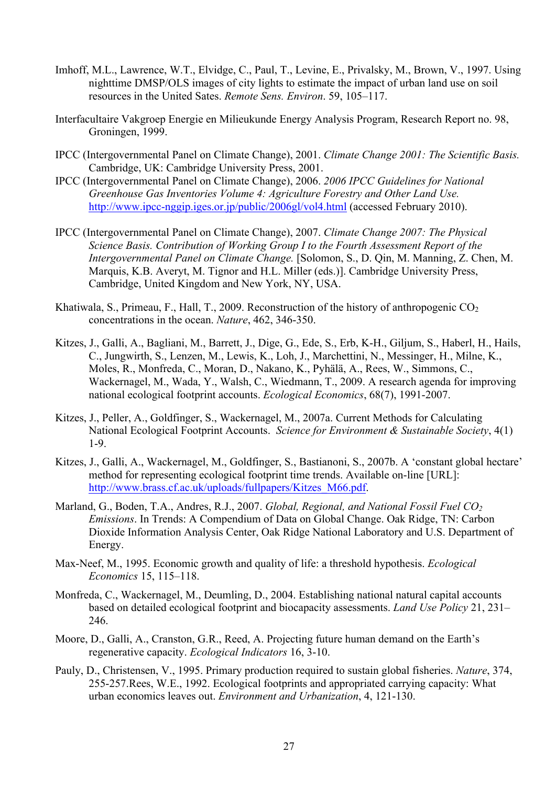- Imhoff, M.L., Lawrence, W.T., Elvidge, C., Paul, T., Levine, E., Privalsky, M., Brown, V., 1997. Using nighttime DMSP/OLS images of city lights to estimate the impact of urban land use on soil resources in the United Sates. *Remote Sens. Environ*. 59, 105–117.
- Interfacultaire Vakgroep Energie en Milieukunde Energy Analysis Program, Research Report no. 98, Groningen, 1999.
- IPCC (Intergovernmental Panel on Climate Change), 2001. *Climate Change 2001: The Scientific Basis.* Cambridge, UK: Cambridge University Press, 2001.
- IPCC (Intergovernmental Panel on Climate Change), 2006. *2006 IPCC Guidelines for National Greenhouse Gas Inventories Volume 4: Agriculture Forestry and Other Land Use.*  http://www.ipcc-nggip.iges.or.jp/public/2006gl/vol4.html (accessed February 2010).
- IPCC (Intergovernmental Panel on Climate Change), 2007. *Climate Change 2007: The Physical Science Basis. Contribution of Working Group I to the Fourth Assessment Report of the Intergovernmental Panel on Climate Change.* [Solomon, S., D. Qin, M. Manning, Z. Chen, M. Marquis, K.B. Averyt, M. Tignor and H.L. Miller (eds.)]. Cambridge University Press, Cambridge, United Kingdom and New York, NY, USA.
- Khatiwala, S., Primeau, F., Hall, T., 2009. Reconstruction of the history of anthropogenic  $CO<sub>2</sub>$ concentrations in the ocean. *Nature*, 462, 346-350.
- Kitzes, J., Galli, A., Bagliani, M., Barrett, J., Dige, G., Ede, S., Erb, K-H., Giljum, S., Haberl, H., Hails, C., Jungwirth, S., Lenzen, M., Lewis, K., Loh, J., Marchettini, N., Messinger, H., Milne, K., Moles, R., Monfreda, C., Moran, D., Nakano, K., Pyhälä, A., Rees, W., Simmons, C., Wackernagel, M., Wada, Y., Walsh, C., Wiedmann, T., 2009. A research agenda for improving national ecological footprint accounts. *Ecological Economics*, 68(7), 1991-2007.
- Kitzes, J., Peller, A., Goldfinger, S., Wackernagel, M., 2007a. Current Methods for Calculating National Ecological Footprint Accounts. *Science for Environment & Sustainable Society*, 4(1) 1-9.
- Kitzes, J., Galli, A., Wackernagel, M., Goldfinger, S., Bastianoni, S., 2007b. A 'constant global hectare' method for representing ecological footprint time trends. Available on-line [URL]: http://www.brass.cf.ac.uk/uploads/fullpapers/Kitzes\_M66.pdf.
- Marland, G., Boden, T.A., Andres, R.J., 2007. *Global, Regional, and National Fossil Fuel CO2 Emissions*. In Trends: A Compendium of Data on Global Change. Oak Ridge, TN: Carbon Dioxide Information Analysis Center, Oak Ridge National Laboratory and U.S. Department of Energy.
- Max-Neef, M., 1995. Economic growth and quality of life: a threshold hypothesis. *Ecological Economics* 15, 115–118.
- Monfreda, C., Wackernagel, M., Deumling, D., 2004. Establishing national natural capital accounts based on detailed ecological footprint and biocapacity assessments. *Land Use Policy* 21, 231– 246.
- Moore, D., Galli, A., Cranston, G.R., Reed, A. Projecting future human demand on the Earth's regenerative capacity. *Ecological Indicators* 16, 3-10.
- Pauly, D., Christensen, V., 1995. Primary production required to sustain global fisheries. *Nature*, 374, 255-257.Rees, W.E., 1992. Ecological footprints and appropriated carrying capacity: What urban economics leaves out. *Environment and Urbanization*, 4, 121-130.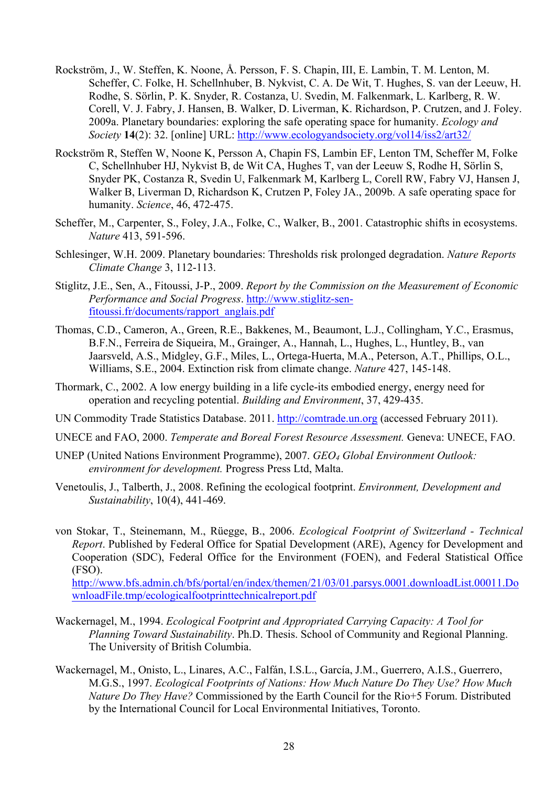- Rockström, J., W. Steffen, K. Noone, Å. Persson, F. S. Chapin, III, E. Lambin, T. M. Lenton, M. Scheffer, C. Folke, H. Schellnhuber, B. Nykvist, C. A. De Wit, T. Hughes, S. van der Leeuw, H. Rodhe, S. Sörlin, P. K. Snyder, R. Costanza, U. Svedin, M. Falkenmark, L. Karlberg, R. W. Corell, V. J. Fabry, J. Hansen, B. Walker, D. Liverman, K. Richardson, P. Crutzen, and J. Foley. 2009a. Planetary boundaries: exploring the safe operating space for humanity. *Ecology and Society* **14**(2): 32. [online] URL: http://www.ecologyandsociety.org/vol14/iss2/art32/
- Rockström R, Steffen W, Noone K, Persson A, Chapin FS, Lambin EF, Lenton TM, Scheffer M, Folke C, Schellnhuber HJ, Nykvist B, de Wit CA, Hughes T, van der Leeuw S, Rodhe H, Sörlin S, Snyder PK, Costanza R, Svedin U, Falkenmark M, Karlberg L, Corell RW, Fabry VJ, Hansen J, Walker B, Liverman D, Richardson K, Crutzen P, Foley JA., 2009b. A safe operating space for humanity. *Science*, 46, 472-475.
- Scheffer, M., Carpenter, S., Foley, J.A., Folke, C., Walker, B., 2001. Catastrophic shifts in ecosystems. *Nature* 413, 591-596.
- Schlesinger, W.H. 2009. Planetary boundaries: Thresholds risk prolonged degradation. *Nature Reports Climate Change* 3, 112-113.
- Stiglitz, J.E., Sen, A., Fitoussi, J-P., 2009. *Report by the Commission on the Measurement of Economic Performance and Social Progress*. http://www.stiglitz-senfitoussi.fr/documents/rapport\_anglais.pdf
- Thomas, C.D., Cameron, A., Green, R.E., Bakkenes, M., Beaumont, L.J., Collingham, Y.C., Erasmus, B.F.N., Ferreira de Siqueira, M., Grainger, A., Hannah, L., Hughes, L., Huntley, B., van Jaarsveld, A.S., Midgley, G.F., Miles, L., Ortega-Huerta, M.A., Peterson, A.T., Phillips, O.L., Williams, S.E., 2004. Extinction risk from climate change. *Nature* 427, 145-148.
- Thormark, C., 2002. A low energy building in a life cycle-its embodied energy, energy need for operation and recycling potential. *Building and Environment*, 37, 429-435.

UN Commodity Trade Statistics Database. 2011. http://comtrade.un.org (accessed February 2011).

- UNECE and FAO, 2000. *Temperate and Boreal Forest Resource Assessment.* Geneva: UNECE, FAO.
- UNEP (United Nations Environment Programme), 2007. *GEO4 Global Environment Outlook: environment for development.* Progress Press Ltd, Malta.
- Venetoulis, J., Talberth, J., 2008. Refining the ecological footprint. *Environment, Development and Sustainability*, 10(4), 441-469.
- von Stokar, T., Steinemann, M., Rüegge, B., 2006. *Ecological Footprint of Switzerland - Technical Report*. Published by Federal Office for Spatial Development (ARE), Agency for Development and Cooperation (SDC), Federal Office for the Environment (FOEN), and Federal Statistical Office (FSO).

http://www.bfs.admin.ch/bfs/portal/en/index/themen/21/03/01.parsys.0001.downloadList.00011.Do wnloadFile.tmp/ecologicalfootprinttechnicalreport.pdf

- Wackernagel, M., 1994. *Ecological Footprint and Appropriated Carrying Capacity: A Tool for Planning Toward Sustainability*. Ph.D. Thesis. School of Community and Regional Planning. The University of British Columbia.
- Wackernagel, M., Onisto, L., Linares, A.C., Falfán, I.S.L., García, J.M., Guerrero, A.I.S., Guerrero, M.G.S., 1997. *Ecological Footprints of Nations: How Much Nature Do They Use? How Much Nature Do They Have?* Commissioned by the Earth Council for the Rio+5 Forum. Distributed by the International Council for Local Environmental Initiatives, Toronto.